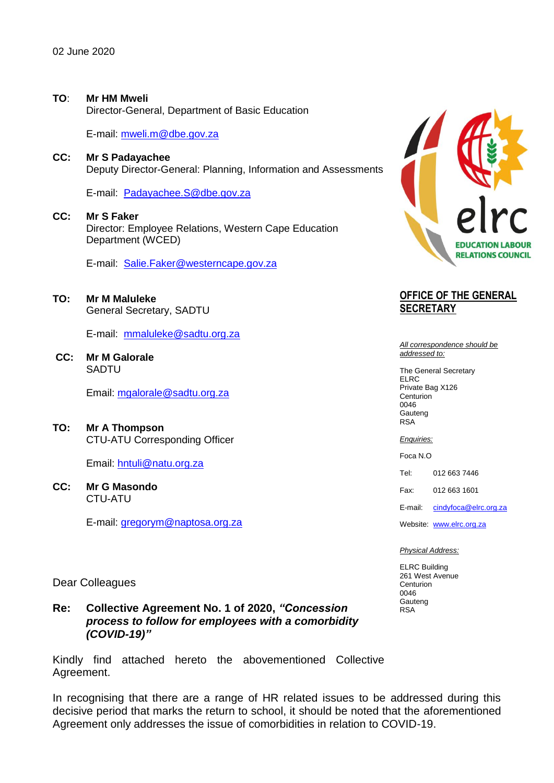## **TO**: **Mr HM Mweli**

Director-General, Department of Basic Education

E-mail: [mweli.m@dbe.gov.za](mailto:Zungu.J@dbe.gov.za) 

### **CC: Mr S Padayachee**

Deputy Director-General: Planning, Information and Assessments

E-mail:[Padayachee.S@dbe.gov.za](mailto:Padayachee.S@dbe.gov.za)

# **CC: Mr S Faker**

Director: Employee Relations, Western Cape Education Department (WCED)

E-mail:[Salie.Faker@westerncape.gov.za](mailto:Salie.Faker@westerncape.gov.za)

#### **TO: Mr M Maluleke** General Secretary, SADTU

E-mail:[mmaluleke@sadtu.org.za](mailto:mmaluleke@sadtu.org.za)

**CC: Mr M Galorale**  SADTU

Email: [mgalorale@sadtu.org.za](mailto:mgalorale@sadtu.org.za)

**TO: Mr A Thompson** CTU-ATU Corresponding Officer

Email: [hntuli@natu.org.za](mailto:hntuli@natu.org.za)

**CC: Mr G Masondo** CTU-ATU

E-mail: [gregorym@naptosa.org.za](mailto:gregorym@naptosa.org.za)



# **OFFICE OF THE GENERAL SECRETARY**

*All correspondence should be addressed to:*

The General Secretary ELRC Private Bag X126 **Centurion** 0046 Gauteng RSA

*Enquiries:*

Foca N.O

Tel: 012 663 7446

Fax: 012 663 1601

E-mail: [cindyfoca@elrc.org.za](mailto:cindyfoca@elrc.org.za)

Website: [www.elrc.org.za](http://www.elrc.org.za/)

#### *Physical Address:*

ELRC Building 261 West Avenue **Centurion** 0046 Gauteng RSA

Dear Colleagues

# **Re: Collective Agreement No. 1 of 2020,** *"Concession process to follow for employees with a comorbidity (COVID-19)"*

Kindly find attached hereto the abovementioned Collective Agreement.

In recognising that there are a range of HR related issues to be addressed during this decisive period that marks the return to school, it should be noted that the aforementioned Agreement only addresses the issue of comorbidities in relation to COVID-19.